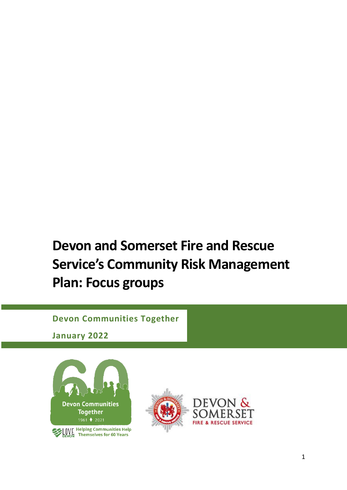# **Devon and Somerset Fire and Rescue Service's Community Risk Management Plan: Focus groups**

# **Devon Communities Together**

**January 2022**



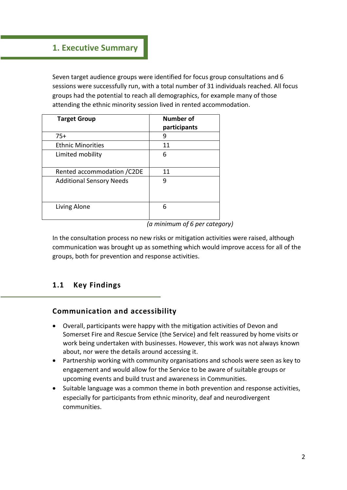# **1. Executive Summary**

Seven target audience groups were identified for focus group consultations and 6 sessions were successfully run, with a total number of 31 individuals reached. All focus groups had the potential to reach all demographics, for example many of those attending the ethnic minority session lived in rented accommodation.

| <b>Target Group</b>             | Number of<br>participants |
|---------------------------------|---------------------------|
| $75+$                           | 9                         |
| <b>Ethnic Minorities</b>        | 11                        |
| Limited mobility                | 6                         |
| Rented accommodation / C2DE     | 11                        |
| <b>Additional Sensory Needs</b> | q                         |
| Living Alone                    | 6                         |

*<sup>(</sup>a minimum of 6 per category)*

In the consultation process no new risks or mitigation activities were raised, although communication was brought up as something which would improve access for all of the groups, both for prevention and response activities.

## **1.1 Key Findings**

## **Communication and accessibility**

- Overall, participants were happy with the mitigation activities of Devon and Somerset Fire and Rescue Service (the Service) and felt reassured by home visits or work being undertaken with businesses. However, this work was not always known about, nor were the details around accessing it.
- Partnership working with community organisations and schools were seen as key to engagement and would allow for the Service to be aware of suitable groups or upcoming events and build trust and awareness in Communities.
- Suitable language was a common theme in both prevention and response activities, especially for participants from ethnic minority, deaf and neurodivergent communities.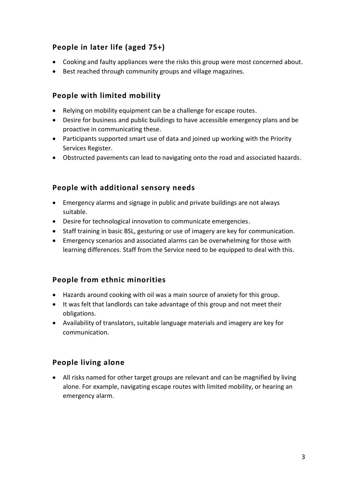# **People in later life (aged 75+)**

- Cooking and faulty appliances were the risks this group were most concerned about.
- Best reached through community groups and village magazines.

### **People with limited mobility**

- Relying on mobility equipment can be a challenge for escape routes.
- Desire for business and public buildings to have accessible emergency plans and be proactive in communicating these.
- Participants supported smart use of data and joined up working with the Priority Services Register.
- Obstructed pavements can lead to navigating onto the road and associated hazards.

### **People with additional sensory needs**

- Emergency alarms and signage in public and private buildings are not always suitable.
- Desire for technological innovation to communicate emergencies.
- Staff training in basic BSL, gesturing or use of imagery are key for communication.
- Emergency scenarios and associated alarms can be overwhelming for those with learning differences. Staff from the Service need to be equipped to deal with this.

## **People from ethnic minorities**

- Hazards around cooking with oil was a main source of anxiety for this group.
- It was felt that landlords can take advantage of this group and not meet their obligations.
- Availability of translators, suitable language materials and imagery are key for communication.

## **People living alone**

• All risks named for other target groups are relevant and can be magnified by living alone. For example, navigating escape routes with limited mobility, or hearing an emergency alarm.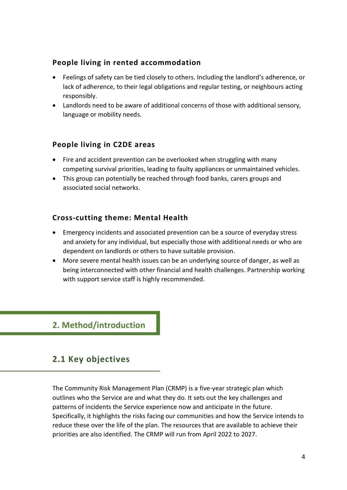### **People living in rented accommodation**

- Feelings of safety can be tied closely to others. Including the landlord's adherence, or lack of adherence, to their legal obligations and regular testing, or neighbours acting responsibly.
- Landlords need to be aware of additional concerns of those with additional sensory, language or mobility needs.

### **People living in C2DE areas**

- Fire and accident prevention can be overlooked when struggling with many competing survival priorities, leading to faulty appliances or unmaintained vehicles.
- This group can potentially be reached through food banks, carers groups and associated social networks.

#### **Cross-cutting theme: Mental Health**

- Emergency incidents and associated prevention can be a source of everyday stress and anxiety for any individual, but especially those with additional needs or who are dependent on landlords or others to have suitable provision.
- More severe mental health issues can be an underlying source of danger, as well as being interconnected with other financial and health challenges. Partnership working with support service staff is highly recommended.

### **2. Method/introduction**

## **2.1 Key objectives**

The Community Risk Management Plan (CRMP) is a five-year strategic plan which outlines who the Service are and what they do. It sets out the key challenges and patterns of incidents the Service experience now and anticipate in the future. Specifically, it highlights the risks facing our communities and how the Service intends to reduce these over the life of the plan. The resources that are available to achieve their priorities are also identified. The CRMP will run from April 2022 to 2027.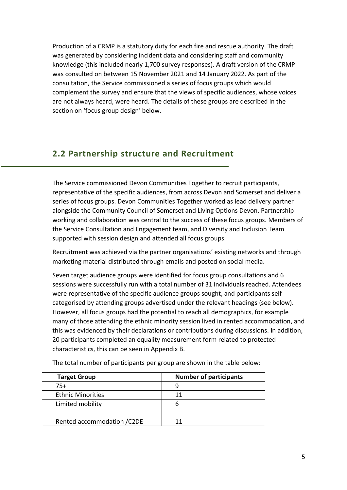Production of a CRMP is a statutory duty for each fire and rescue authority. The draft was generated by considering incident data and considering staff and community knowledge (this included nearly 1,700 survey responses). A draft version of the CRMP was consulted on between 15 November 2021 and 14 January 2022. As part of the consultation, the Service commissioned a series of focus groups which would complement the survey and ensure that the views of specific audiences, whose voices are not always heard, were heard. The details of these groups are described in the section on 'focus group design' below.

# **2.2 Partnership structure and Recruitment**

The Service commissioned Devon Communities Together to recruit participants, representative of the specific audiences, from across Devon and Somerset and deliver a series of focus groups. Devon Communities Together worked as lead delivery partner alongside the Community Council of Somerset and Living Options Devon. Partnership working and collaboration was central to the success of these focus groups. Members of the Service Consultation and Engagement team, and Diversity and Inclusion Team supported with session design and attended all focus groups.

Recruitment was achieved via the partner organisations' existing networks and through marketing material distributed through emails and posted on social media.

Seven target audience groups were identified for focus group consultations and 6 sessions were successfully run with a total number of 31 individuals reached. Attendees were representative of the specific audience groups sought, and participants selfcategorised by attending groups advertised under the relevant headings (see below). However, all focus groups had the potential to reach all demographics, for example many of those attending the ethnic minority session lived in rented accommodation, and this was evidenced by their declarations or contributions during discussions. In addition, 20 participants completed an equality measurement form related to protected characteristics, this can be seen in Appendix B.

| <b>Target Group</b>         | <b>Number of participants</b> |
|-----------------------------|-------------------------------|
| $75+$                       |                               |
| <b>Ethnic Minorities</b>    | 11                            |
| Limited mobility            | b                             |
| Rented accommodation / C2DE |                               |

The total number of participants per group are shown in the table below: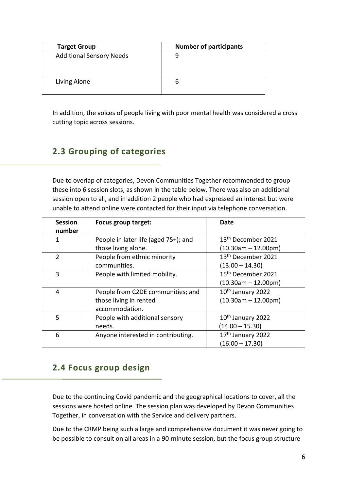| <b>Target Group</b>             | <b>Number of participants</b> |
|---------------------------------|-------------------------------|
| <b>Additional Sensory Needs</b> |                               |
| Living Alone                    |                               |

In addition, the voices of people living with poor mental health was considered a cross cutting topic across sessions.

# **2.3 Grouping of categories**

Due to overlap of categories, Devon Communities Together recommended to group these into 6 session slots, as shown in the table below. There was also an additional session open to all, and in addition 2 people who had expressed an interest but were unable to attend online were contacted for their input via telephone conversation.

| <b>Session</b><br>number | Focus group target:                  | Date                           |
|--------------------------|--------------------------------------|--------------------------------|
| 1                        | People in later life (aged 75+); and | 13 <sup>th</sup> December 2021 |
|                          | those living alone.                  | $(10.30am - 12.00pm)$          |
| $\overline{2}$           | People from ethnic minority          | 13 <sup>th</sup> December 2021 |
|                          | communities.                         | $(13.00 - 14.30)$              |
| 3                        | People with limited mobility.        | 15 <sup>th</sup> December 2021 |
|                          |                                      | $(10.30am - 12.00pm)$          |
| 4                        | People from C2DE communities; and    | 10 <sup>th</sup> January 2022  |
|                          | those living in rented               | $(10.30am - 12.00pm)$          |
|                          | accommodation.                       |                                |
| 5                        | People with additional sensory       | 10 <sup>th</sup> January 2022  |
|                          | needs.                               | $(14.00 - 15.30)$              |
| 6                        | Anyone interested in contributing.   | 17th January 2022              |
|                          |                                      | $(16.00 - 17.30)$              |

# **2.4 Focus group design**

Due to the continuing Covid pandemic and the geographical locations to cover, all the sessions were hosted online. The session plan was developed by Devon Communities Together, in conversation with the Service and delivery partners.

Due to the CRMP being such a large and comprehensive document it was never going to be possible to consult on all areas in a 90-minute session, but the focus group structure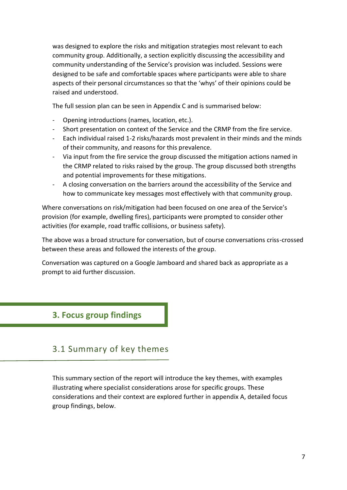was designed to explore the risks and mitigation strategies most relevant to each community group. Additionally, a section explicitly discussing the accessibility and community understanding of the Service's provision was included. Sessions were designed to be safe and comfortable spaces where participants were able to share aspects of their personal circumstances so that the 'whys' of their opinions could be raised and understood.

The full session plan can be seen in Appendix C and is summarised below:

- Opening introductions (names, location, etc.).
- Short presentation on context of the Service and the CRMP from the fire service.
- Each individual raised 1-2 risks/hazards most prevalent in their minds and the minds of their community, and reasons for this prevalence.
- Via input from the fire service the group discussed the mitigation actions named in the CRMP related to risks raised by the group. The group discussed both strengths and potential improvements for these mitigations.
- A closing conversation on the barriers around the accessibility of the Service and how to communicate key messages most effectively with that community group.

Where conversations on risk/mitigation had been focused on one area of the Service's provision (for example, dwelling fires), participants were prompted to consider other activities (for example, road traffic collisions, or business safety).

The above was a broad structure for conversation, but of course conversations criss-crossed between these areas and followed the interests of the group.

Conversation was captured on a Google Jamboard and shared back as appropriate as a prompt to aid further discussion.

### **3. Focus group findings**

# 3.1 Summary of key themes

This summary section of the report will introduce the key themes, with examples illustrating where specialist considerations arose for specific groups. These considerations and their context are explored further in appendix A, detailed focus group findings, below.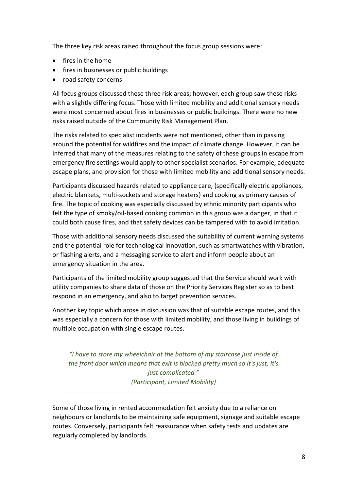The three key risk areas raised throughout the focus group sessions were:

- fires in the home
- fires in businesses or public buildings
- road safety concerns

All focus groups discussed these three risk areas; however, each group saw these risks with a slightly differing focus. Those with limited mobility and additional sensory needs were most concerned about fires in businesses or public buildings. There were no new risks raised outside of the Community Risk Management Plan.

The risks related to specialist incidents were not mentioned, other than in passing around the potential for wildfires and the impact of climate change. However, it can be inferred that many of the measures relating to the safety of these groups in escape from emergency fire settings would apply to other specialist scenarios. For example, adequate escape plans, and provision for those with limited mobility and additional sensory needs.

Participants discussed hazards related to appliance care, (specifically electric appliances, electric blankets, multi-sockets and storage heaters) and cooking as primary causes of fire. The topic of cooking was especially discussed by ethnic minority participants who felt the type of smoky/oil-based cooking common in this group was a danger, in that it could both cause fires, and that safety devices can be tampered with to avoid irritation.

Those with additional sensory needs discussed the suitability of current warning systems and the potential role for technological innovation, such as smartwatches with vibration, or flashing alerts, and a messaging service to alert and inform people about an emergency situation in the area.

Participants of the limited mobility group suggested that the Service should work with utility companies to share data of those on the Priority Services Register so as to best respond in an emergency, and also to target prevention services.

Another key topic which arose in discussion was that of suitable escape routes, and this was especially a concern for those with limited mobility, and those living in buildings of multiple occupation with single escape routes.

*"I have to store my wheelchair at the bottom of my staircase just inside of the front door which means that exit is blocked pretty much so it's just, it's just complicated." (Participant, Limited Mobility)*

Some of those living in rented accommodation felt anxiety due to a reliance on neighbours or landlords to be maintaining safe equipment, signage and suitable escape routes. Conversely, participants felt reassurance when safety tests and updates are regularly completed by landlords.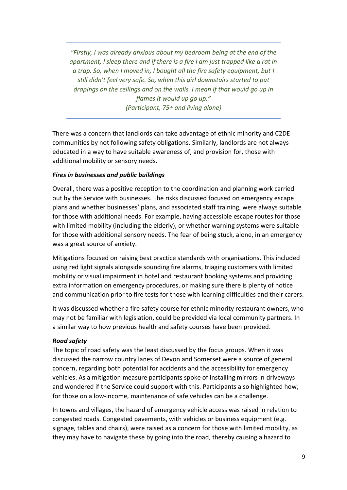*"Firstly, I was already anxious about my bedroom being at the end of the apartment, I sleep there and if there is a fire I am just trapped like a rat in a trap. So, when I moved in, I bought all the fire safety equipment, but I still didn't feel very safe. So, when this girl downstairs started to put drapings on the ceilings and on the walls. I mean if that would go up in flames it would up go up." (Participant, 75+ and living alone)*

There was a concern that landlords can take advantage of ethnic minority and C2DE communities by not following safety obligations. Similarly, landlords are not always educated in a way to have suitable awareness of, and provision for, those with additional mobility or sensory needs.

#### *Fires in businesses and public buildings*

Overall, there was a positive reception to the coordination and planning work carried out by the Service with businesses. The risks discussed focused on emergency escape plans and whether businesses' plans, and associated staff training, were always suitable for those with additional needs. For example, having accessible escape routes for those with limited mobility (including the elderly), or whether warning systems were suitable for those with additional sensory needs. The fear of being stuck, alone, in an emergency was a great source of anxiety.

Mitigations focused on raising best practice standards with organisations. This included using red light signals alongside sounding fire alarms, triaging customers with limited mobility or visual impairment in hotel and restaurant booking systems and providing extra information on emergency procedures, or making sure there is plenty of notice and communication prior to fire tests for those with learning difficulties and their carers.

It was discussed whether a fire safety course for ethnic minority restaurant owners, who may not be familiar with legislation, could be provided via local community partners. In a similar way to how previous health and safety courses have been provided.

#### *Road safety*

The topic of road safety was the least discussed by the focus groups. When it was discussed the narrow country lanes of Devon and Somerset were a source of general concern, regarding both potential for accidents and the accessibility for emergency vehicles. As a mitigation measure participants spoke of installing mirrors in driveways and wondered if the Service could support with this. Participants also highlighted how, for those on a low-income, maintenance of safe vehicles can be a challenge.

In towns and villages, the hazard of emergency vehicle access was raised in relation to congested roads. Congested pavements, with vehicles or business equipment (e.g. signage, tables and chairs), were raised as a concern for those with limited mobility, as they may have to navigate these by going into the road, thereby causing a hazard to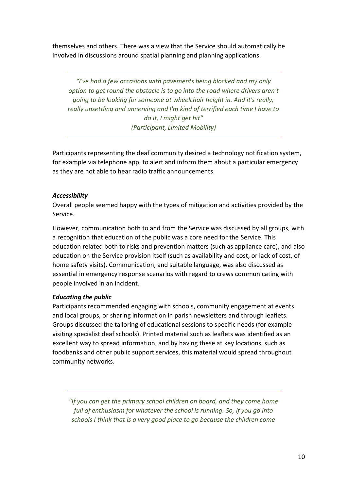themselves and others. There was a view that the Service should automatically be involved in discussions around spatial planning and planning applications.

*"I've had a few occasions with pavements being blocked and my only option to get round the obstacle is to go into the road where drivers aren't going to be looking for someone at wheelchair height in. And it's really, really unsettling and unnerving and I'm kind of terrified each time I have to do it, I might get hit" (Participant, Limited Mobility)*

Participants representing the deaf community desired a technology notification system, for example via telephone app, to alert and inform them about a particular emergency as they are not able to hear radio traffic announcements.

#### *Accessibility*

Overall people seemed happy with the types of mitigation and activities provided by the Service.

However, communication both to and from the Service was discussed by all groups, with a recognition that education of the public was a core need for the Service. This education related both to risks and prevention matters (such as appliance care), and also education on the Service provision itself (such as availability and cost, or lack of cost, of home safety visits). Communication, and suitable language, was also discussed as essential in emergency response scenarios with regard to crews communicating with people involved in an incident.

#### *Educating the public*

Participants recommended engaging with schools, community engagement at events and local groups, or sharing information in parish newsletters and through leaflets. Groups discussed the tailoring of educational sessions to specific needs (for example visiting specialist deaf schools). Printed material such as leaflets was identified as an excellent way to spread information, and by having these at key locations, such as foodbanks and other public support services, this material would spread throughout community networks.

*"If you can get the primary school children on board, and they come home full of enthusiasm for whatever the school is running. So, if you go into schools I think that is a very good place to go because the children come*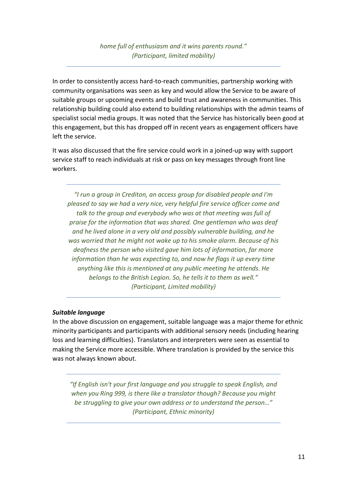### *home full of enthusiasm and it wins parents round." (Participant, limited mobility)*

In order to consistently access hard-to-reach communities, partnership working with community organisations was seen as key and would allow the Service to be aware of suitable groups or upcoming events and build trust and awareness in communities. This relationship building could also extend to building relationships with the admin teams of specialist social media groups. It was noted that the Service has historically been good at this engagement, but this has dropped off in recent years as engagement officers have left the service.

It was also discussed that the fire service could work in a joined-up way with support service staff to reach individuals at risk or pass on key messages through front line workers.

*"I run a group in Crediton, an access group for disabled people and I'm pleased to say we had a very nice, very helpful fire service officer come and talk to the group and everybody who was at that meeting was full of praise for the information that was shared. One gentleman who was deaf and he lived alone in a very old and possibly vulnerable building, and he was worried that he might not wake up to his smoke alarm. Because of his deafness the person who visited gave him lots of information, far more information than he was expecting to, and now he flags it up every time anything like this is mentioned at any public meeting he attends. He belongs to the British Legion. So, he tells it to them as well." (Participant, Limited mobility)*

#### *Suitable language*

In the above discussion on engagement, suitable language was a major theme for ethnic minority participants and participants with additional sensory needs (including hearing loss and learning difficulties). Translators and interpreters were seen as essential to making the Service more accessible. Where translation is provided by the service this was not always known about.

*"If English isn't your first language and you struggle to speak English, and when you Ring 999, is there like a translator though? Because you might be struggling to give your own address or to understand the person…" (Participant, Ethnic minority)*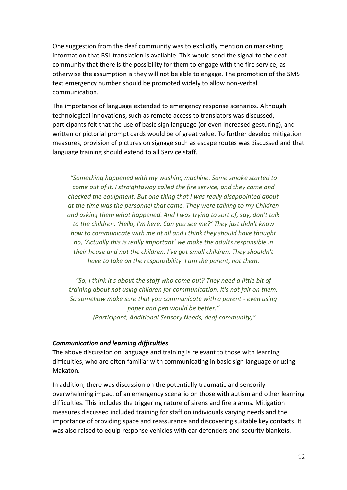One suggestion from the deaf community was to explicitly mention on marketing information that BSL translation is available. This would send the signal to the deaf community that there is the possibility for them to engage with the fire service, as otherwise the assumption is they will not be able to engage. The promotion of the SMS text emergency number should be promoted widely to allow non-verbal communication.

The importance of language extended to emergency response scenarios. Although technological innovations, such as remote access to translators was discussed, participants felt that the use of basic sign language (or even increased gesturing), and written or pictorial prompt cards would be of great value. To further develop mitigation measures, provision of pictures on signage such as escape routes was discussed and that language training should extend to all Service staff.

*"Something happened with my washing machine. Some smoke started to come out of it. I straightaway called the fire service, and they came and checked the equipment. But one thing that I was really disappointed about at the time was the personnel that came. They were talking to my Children and asking them what happened. And I was trying to sort of, say, don't talk to the children. 'Hello, I'm here. Can you see me?' They just didn't know how to communicate with me at all and I think they should have thought no, 'Actually this is really important' we make the adults responsible in their house and not the children. I've got small children. They shouldn't have to take on the responsibility. I am the parent, not them.*

*"So, I think it's about the staff who come out? They need a little bit of training about not using children for communication. It's not fair on them. So somehow make sure that you communicate with a parent - even using paper and pen would be better." (Participant, Additional Sensory Needs, deaf community)"*

#### *Communication and learning difficulties*

The above discussion on language and training is relevant to those with learning difficulties, who are often familiar with communicating in basic sign language or using Makaton.

In addition, there was discussion on the potentially traumatic and sensorily overwhelming impact of an emergency scenario on those with autism and other learning difficulties. This includes the triggering nature of sirens and fire alarms. Mitigation measures discussed included training for staff on individuals varying needs and the importance of providing space and reassurance and discovering suitable key contacts. It was also raised to equip response vehicles with ear defenders and security blankets.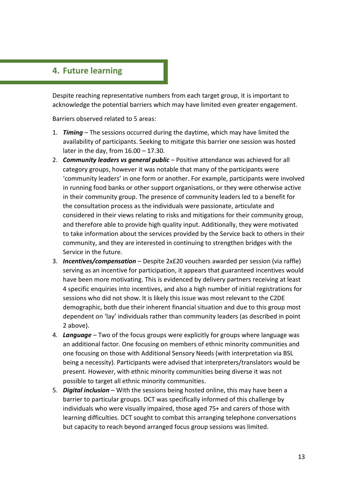## **4. Future learning**

Despite reaching representative numbers from each target group, it is important to acknowledge the potential barriers which may have limited even greater engagement.

Barriers observed related to 5 areas:

- 1. *Timing* The sessions occurred during the daytime, which may have limited the availability of participants. Seeking to mitigate this barrier one session was hosted later in the day, from 16.00 – 17.30.
- 2. *Community leaders vs general public* Positive attendance was achieved for all category groups, however it was notable that many of the participants were 'community leaders' in one form or another. For example, participants were involved in running food banks or other support organisations, or they were otherwise active in their community group. The presence of community leaders led to a benefit for the consultation process as the individuals were passionate, articulate and considered in their views relating to risks and mitigations for their community group, and therefore able to provide high quality input. Additionally, they were motivated to take information about the services provided by the Service back to others in their community, and they are interested in continuing to strengthen bridges with the Service in the future.
- 3. *Incentives/compensation* Despite 2x£20 vouchers awarded per session (via raffle) serving as an incentive for participation, it appears that guaranteed incentives would have been more motivating. This is evidenced by delivery partners receiving at least 4 specific enquiries into incentives, and also a high number of initial registrations for sessions who did not show. It is likely this issue was most relevant to the C2DE demographic, both due their inherent financial situation and due to this group most dependent on 'lay' individuals rather than community leaders (as described in point 2 above).
- 4. *Language* Two of the focus groups were explicitly for groups where language was an additional factor. One focusing on members of ethnic minority communities and one focusing on those with Additional Sensory Needs (with interpretation via BSL being a necessity). Participants were advised that interpreters/translators would be present. However, with ethnic minority communities being diverse it was not possible to target all ethnic minority communities.
- 5. *Digital inclusion* With the sessions being hosted online, this may have been a barrier to particular groups. DCT was specifically informed of this challenge by individuals who were visually impaired, those aged 75+ and carers of those with learning difficulties. DCT sought to combat this arranging telephone conversations but capacity to reach beyond arranged focus group sessions was limited.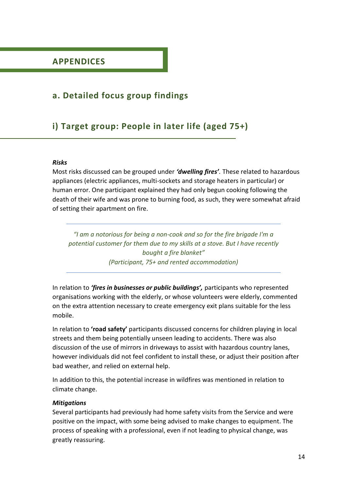# **a. Detailed focus group findings**

# **i) Target group: People in later life (aged 75+)**

#### *Risks*

Most risks discussed can be grouped under *'dwelling fires'.* These related to hazardous appliances (electric appliances, multi-sockets and storage heaters in particular) or human error. One participant explained they had only begun cooking following the death of their wife and was prone to burning food, as such, they were somewhat afraid of setting their apartment on fire.

*"I am a notorious for being a non-cook and so for the fire brigade I'm a potential customer for them due to my skills at a stove. But I have recently bought a fire blanket" (Participant, 75+ and rented accommodation)*

In relation to *'fires in businesses or public buildings',* participants who represented organisations working with the elderly, or whose volunteers were elderly, commented on the extra attention necessary to create emergency exit plans suitable for the less mobile.

In relation to **'road safety'** participants discussed concerns for children playing in local streets and them being potentially unseen leading to accidents. There was also discussion of the use of mirrors in driveways to assist with hazardous country lanes, however individuals did not feel confident to install these, or adjust their position after bad weather, and relied on external help.

In addition to this, the potential increase in wildfires was mentioned in relation to climate change.

#### *Mitigations*

Several participants had previously had home safety visits from the Service and were positive on the impact, with some being advised to make changes to equipment. The process of speaking with a professional, even if not leading to physical change, was greatly reassuring.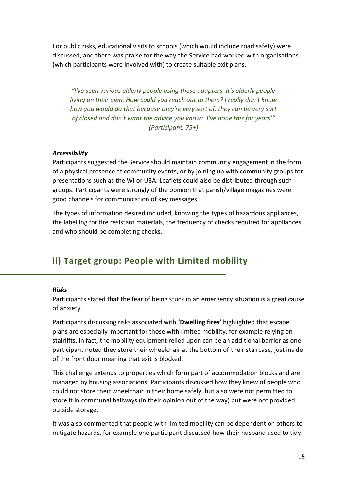For public risks, educational visits to schools (which would include road safety) were discussed, and there was praise for the way the Service had worked with organisations (which participants were involved with) to create suitable exit plans.

*"I've seen various elderly people using these adapters. It's elderly people living on their own. How could you reach out to them? I really don't know how you would do that because they're very sort of, they can be very sort of closed and don't want the advice you know: 'I've done this for years'" (Participant, 75+)*

#### *Accessibility*

Participants suggested the Service should maintain community engagement in the form of a physical presence at community events, or by joining up with community groups for presentations such as the WI or U3A. Leaflets could also be distributed through such groups. Participants were strongly of the opinion that parish/village magazines were good channels for communication of key messages.

The types of information desired included, knowing the types of hazardous appliances, the labelling for fire resistant materials, the frequency of checks required for appliances and who should be completing checks.

# **ii) Target group: People with Limited mobility**

#### *Risks*

Participants stated that the fear of being stuck in an emergency situation is a great cause of anxiety.

Participants discussing risks associated with **'Dwelling fires'** highlighted that escape plans are especially important for those with limited mobility, for example relying on stairlifts. In fact, the mobility equipment relied upon can be an additional barrier as one participant noted they store their wheelchair at the bottom of their staircase, just inside of the front door meaning that exit is blocked.

This challenge extends to properties which form part of accommodation blocks and are managed by housing associations. Participants discussed how they knew of people who could not store their wheelchair in their home safely, but also were not permitted to store it in communal hallways (in their opinion out of the way) but were not provided outside storage.

It was also commented that people with limited mobility can be dependent on others to mitigate hazards, for example one participant discussed how their husband used to tidy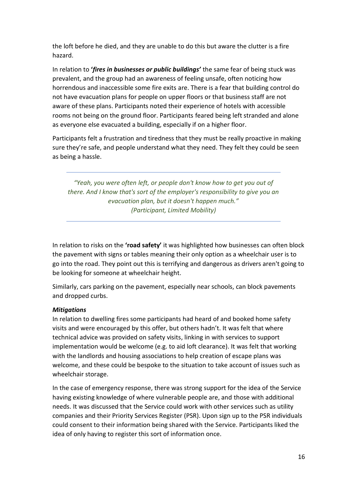the loft before he died, and they are unable to do this but aware the clutter is a fire hazard.

In relation to **'***fires in businesses or public buildings'* the same fear of being stuck was prevalent, and the group had an awareness of feeling unsafe, often noticing how horrendous and inaccessible some fire exits are. There is a fear that building control do not have evacuation plans for people on upper floors or that business staff are not aware of these plans. Participants noted their experience of hotels with accessible rooms not being on the ground floor. Participants feared being left stranded and alone as everyone else evacuated a building, especially if on a higher floor.

Participants felt a frustration and tiredness that they must be really proactive in making sure they're safe, and people understand what they need. They felt they could be seen as being a hassle.

*"Yeah, you were often left, or people don't know how to get you out of there. And I know that's sort of the employer's responsibility to give you an evacuation plan, but it doesn't happen much." (Participant, Limited Mobility)*

In relation to risks on the **'road safety'** it was highlighted how businesses can often block the pavement with signs or tables meaning their only option as a wheelchair user is to go into the road. They point out this is terrifying and dangerous as drivers aren't going to be looking for someone at wheelchair height.

Similarly, cars parking on the pavement, especially near schools, can block pavements and dropped curbs.

#### *Mitigations*

In relation to dwelling fires some participants had heard of and booked home safety visits and were encouraged by this offer, but others hadn't. It was felt that where technical advice was provided on safety visits, linking in with services to support implementation would be welcome (e.g. to aid loft clearance). It was felt that working with the landlords and housing associations to help creation of escape plans was welcome, and these could be bespoke to the situation to take account of issues such as wheelchair storage.

In the case of emergency response, there was strong support for the idea of the Service having existing knowledge of where vulnerable people are, and those with additional needs. It was discussed that the Service could work with other services such as utility companies and their Priority Services Register (PSR). Upon sign up to the PSR individuals could consent to their information being shared with the Service. Participants liked the idea of only having to register this sort of information once.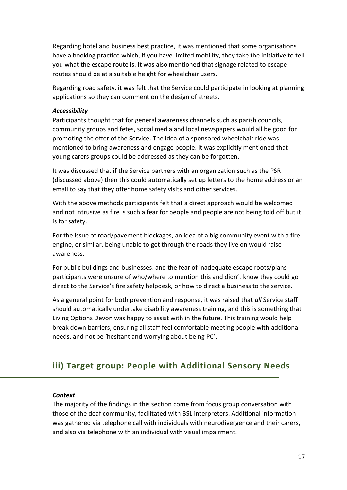Regarding hotel and business best practice, it was mentioned that some organisations have a booking practice which, if you have limited mobility, they take the initiative to tell you what the escape route is. It was also mentioned that signage related to escape routes should be at a suitable height for wheelchair users.

Regarding road safety, it was felt that the Service could participate in looking at planning applications so they can comment on the design of streets.

#### *Accessibility*

Participants thought that for general awareness channels such as parish councils, community groups and fetes, social media and local newspapers would all be good for promoting the offer of the Service. The idea of a sponsored wheelchair ride was mentioned to bring awareness and engage people. It was explicitly mentioned that young carers groups could be addressed as they can be forgotten.

It was discussed that if the Service partners with an organization such as the PSR (discussed above) then this could automatically set up letters to the home address or an email to say that they offer home safety visits and other services.

With the above methods participants felt that a direct approach would be welcomed and not intrusive as fire is such a fear for people and people are not being told off but it is for safety.

For the issue of road/pavement blockages, an idea of a big community event with a fire engine, or similar, being unable to get through the roads they live on would raise awareness.

For public buildings and businesses, and the fear of inadequate escape roots/plans participants were unsure of who/where to mention this and didn't know they could go direct to the Service's fire safety helpdesk, or how to direct a business to the service.

As a general point for both prevention and response, it was raised that *all* Service staff should automatically undertake disability awareness training, and this is something that Living Options Devon was happy to assist with in the future. This training would help break down barriers, ensuring all staff feel comfortable meeting people with additional needs, and not be 'hesitant and worrying about being PC'.

# **iii) Target group: People with Additional Sensory Needs**

#### *Context*

The majority of the findings in this section come from focus group conversation with those of the deaf community, facilitated with BSL interpreters. Additional information was gathered via telephone call with individuals with neurodivergence and their carers, and also via telephone with an individual with visual impairment.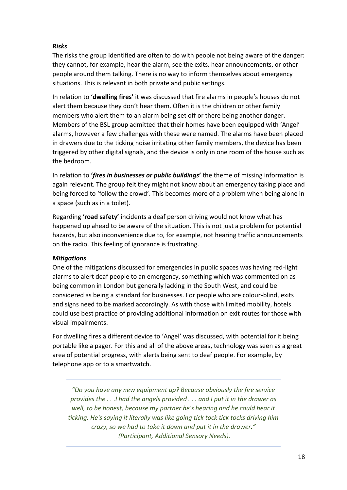#### *Risks*

The risks the group identified are often to do with people not being aware of the danger: they cannot, for example, hear the alarm, see the exits, hear announcements, or other people around them talking. There is no way to inform themselves about emergency situations. This is relevant in both private and public settings.

In relation to '**dwelling fires'** it was discussed that fire alarms in people's houses do not alert them because they don't hear them. Often it is the children or other family members who alert them to an alarm being set off or there being another danger. Members of the BSL group admitted that their homes have been equipped with 'Angel' alarms, however a few challenges with these were named. The alarms have been placed in drawers due to the ticking noise irritating other family members, the device has been triggered by other digital signals, and the device is only in one room of the house such as the bedroom.

In relation to **'***fires in businesses or public buildings***'** the theme of missing information is again relevant. The group felt they might not know about an emergency taking place and being forced to 'follow the crowd'. This becomes more of a problem when being alone in a space (such as in a toilet).

Regarding **'road safety'** incidents a deaf person driving would not know what has happened up ahead to be aware of the situation. This is not just a problem for potential hazards, but also inconvenience due to, for example, not hearing traffic announcements on the radio. This feeling of ignorance is frustrating.

#### *Mitigations*

One of the mitigations discussed for emergencies in public spaces was having red-light alarms to alert deaf people to an emergency, something which was commented on as being common in London but generally lacking in the South West, and could be considered as being a standard for businesses. For people who are colour-blind, exits and signs need to be marked accordingly. As with those with limited mobility, hotels could use best practice of providing additional information on exit routes for those with visual impairments.

For dwelling fires a different device to 'Angel' was discussed, with potential for it being portable like a pager. For this and all of the above areas, technology was seen as a great area of potential progress, with alerts being sent to deaf people. For example, by telephone app or to a smartwatch.

*"Do you have any new equipment up? Because obviously the fire service provides the . . .I had the angels provided . . . and I put it in the drawer as well, to be honest, because my partner he's hearing and he could hear it ticking. He's saying it literally was like going tick tock tick tocks driving him crazy, so we had to take it down and put it in the drawer." (Participant, Additional Sensory Needs).*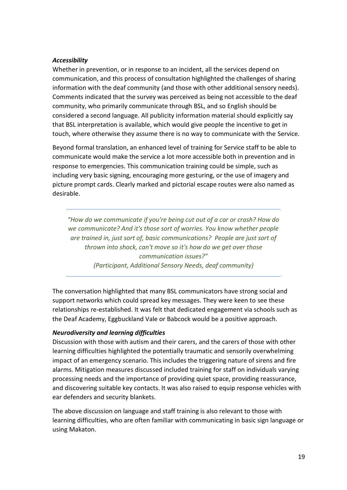#### *Accessibility*

Whether in prevention, or in response to an incident, all the services depend on communication, and this process of consultation highlighted the challenges of sharing information with the deaf community (and those with other additional sensory needs). Comments indicated that the survey was perceived as being not accessible to the deaf community, who primarily communicate through BSL, and so English should be considered a second language. All publicity information material should explicitly say that BSL interpretation is available, which would give people the incentive to get in touch, where otherwise they assume there is no way to communicate with the Service.

Beyond formal translation, an enhanced level of training for Service staff to be able to communicate would make the service a lot more accessible both in prevention and in response to emergencies. This communication training could be simple, such as including very basic signing, encouraging more gesturing, or the use of imagery and picture prompt cards. Clearly marked and pictorial escape routes were also named as desirable.

*"How do we communicate if you're being cut out of a car or crash? How do we communicate? And it's those sort of worries. You know whether people are trained in, just sort of, basic communications? People are just sort of thrown into shock, can't move so it's how do we get over those communication issues?" (Participant, Additional Sensory Needs, deaf community)*

The conversation highlighted that many BSL communicators have strong social and support networks which could spread key messages. They were keen to see these relationships re-established. It was felt that dedicated engagement via schools such as the Deaf Academy, Eggbuckland Vale or Babcock would be a positive approach.

#### *Neurodiversity and learning difficulties*

Discussion with those with autism and their carers, and the carers of those with other learning difficulties highlighted the potentially traumatic and sensorily overwhelming impact of an emergency scenario. This includes the triggering nature of sirens and fire alarms. Mitigation measures discussed included training for staff on individuals varying processing needs and the importance of providing quiet space, providing reassurance, and discovering suitable key contacts. It was also raised to equip response vehicles with ear defenders and security blankets.

The above discussion on language and staff training is also relevant to those with learning difficulties, who are often familiar with communicating in basic sign language or using Makaton.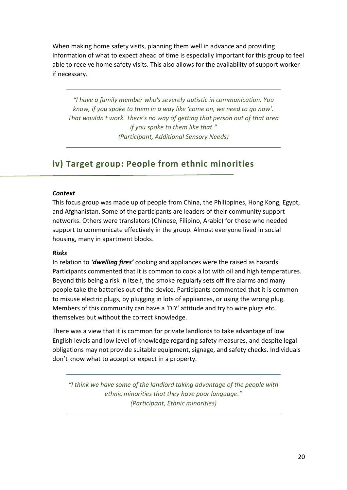When making home safety visits, planning them well in advance and providing information of what to expect ahead of time is especially important for this group to feel able to receive home safety visits. This also allows for the availability of support worker if necessary.

*"I have a family member who's severely autistic in communication. You know, if you spoke to them in a way like 'come on, we need to go now'. That wouldn't work. There's no way of getting that person out of that area if you spoke to them like that." (Participant, Additional Sensory Needs)*

# **iv) Target group: People from ethnic minorities**

#### *Context*

This focus group was made up of people from China, the Philippines, Hong Kong, Egypt, and Afghanistan. Some of the participants are leaders of their community support networks. Others were translators (Chinese, Filipino, Arabic) for those who needed support to communicate effectively in the group. Almost everyone lived in social housing, many in apartment blocks.

#### *Risks*

In relation to *'dwelling fires'* cooking and appliances were the raised as hazards. Participants commented that it is common to cook a lot with oil and high temperatures. Beyond this being a risk in itself, the smoke regularly sets off fire alarms and many people take the batteries out of the device. Participants commented that it is common to misuse electric plugs, by plugging in lots of appliances, or using the wrong plug. Members of this community can have a 'DIY' attitude and try to wire plugs etc. themselves but without the correct knowledge.

There was a view that it is common for private landlords to take advantage of low English levels and low level of knowledge regarding safety measures, and despite legal obligations may not provide suitable equipment, signage, and safety checks. Individuals don't know what to accept or expect in a property.

*"I think we have some of the landlord taking advantage of the people with ethnic minorities that they have poor language." (Participant, Ethnic minorities)*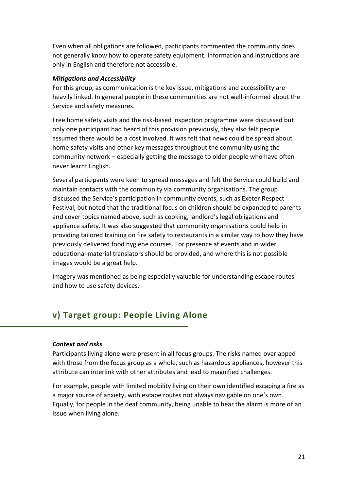Even when all obligations are followed, participants commented the community does not generally know how to operate safety equipment. Information and instructions are only in English and therefore not accessible.

#### *Mitigations and Accessibility*

For this group, as communication is the key issue, mitigations and accessibility are heavily linked. In general people in these communities are not well-informed about the Service and safety measures.

Free home safety visits and the risk-based inspection programme were discussed but only one participant had heard of this provision previously, they also felt people assumed there would be a cost involved. It was felt that news could be spread about home safety visits and other key messages throughout the community using the community network – especially getting the message to older people who have often never learnt English.

Several participants were keen to spread messages and felt the Service could build and maintain contacts with the community via community organisations. The group discussed the Service's participation in community events, such as Exeter Respect Festival, but noted that the traditional focus on children should be expanded to parents and cover topics named above, such as cooking, landlord's legal obligations and appliance safety. It was also suggested that community organisations could help in providing tailored training on fire safety to restaurants in a similar way to how they have previously delivered food hygiene courses. For presence at events and in wider educational material translators should be provided, and where this is not possible images would be a great help.

Imagery was mentioned as being especially valuable for understanding escape routes and how to use safety devices.

## **v) Target group: People Living Alone**

#### *Context and risks*

Participants living alone were present in all focus groups. The risks named overlapped with those from the focus group as a whole, such as hazardous appliances, however this attribute can interlink with other attributes and lead to magnified challenges.

For example, people with limited mobility living on their own identified escaping a fire as a major source of anxiety, with escape routes not always navigable on one's own. Equally, for people in the deaf community, being unable to hear the alarm is more of an issue when living alone.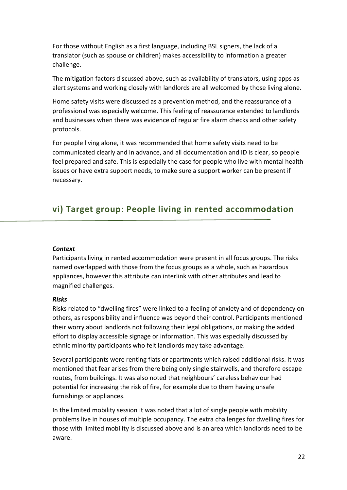For those without English as a first language, including BSL signers, the lack of a translator (such as spouse or children) makes accessibility to information a greater challenge.

The mitigation factors discussed above, such as availability of translators, using apps as alert systems and working closely with landlords are all welcomed by those living alone.

Home safety visits were discussed as a prevention method, and the reassurance of a professional was especially welcome. This feeling of reassurance extended to landlords and businesses when there was evidence of regular fire alarm checks and other safety protocols.

For people living alone, it was recommended that home safety visits need to be communicated clearly and in advance, and all documentation and ID is clear, so people feel prepared and safe. This is especially the case for people who live with mental health issues or have extra support needs, to make sure a support worker can be present if necessary.

# **vi) Target group: People living in rented accommodation**

#### *Context*

Participants living in rented accommodation were present in all focus groups. The risks named overlapped with those from the focus groups as a whole, such as hazardous appliances, however this attribute can interlink with other attributes and lead to magnified challenges.

#### *Risks*

Risks related to "dwelling fires" were linked to a feeling of anxiety and of dependency on others, as responsibility and influence was beyond their control. Participants mentioned their worry about landlords not following their legal obligations, or making the added effort to display accessible signage or information. This was especially discussed by ethnic minority participants who felt landlords may take advantage.

Several participants were renting flats or apartments which raised additional risks. It was mentioned that fear arises from there being only single stairwells, and therefore escape routes, from buildings. It was also noted that neighbours' careless behaviour had potential for increasing the risk of fire, for example due to them having unsafe furnishings or appliances.

In the limited mobility session it was noted that a lot of single people with mobility problems live in houses of multiple occupancy. The extra challenges for dwelling fires for those with limited mobility is discussed above and is an area which landlords need to be aware.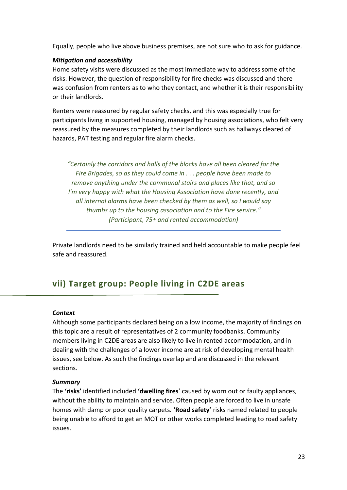Equally, people who live above business premises, are not sure who to ask for guidance.

#### *Mitigation and accessibility*

Home safety visits were discussed as the most immediate way to address some of the risks. However, the question of responsibility for fire checks was discussed and there was confusion from renters as to who they contact, and whether it is their responsibility or their landlords.

Renters were reassured by regular safety checks, and this was especially true for participants living in supported housing, managed by housing associations, who felt very reassured by the measures completed by their landlords such as hallways cleared of hazards, PAT testing and regular fire alarm checks.

*"Certainly the corridors and halls of the blocks have all been cleared for the Fire Brigades, so as they could come in . . . people have been made to remove anything under the communal stairs and places like that, and so I'm very happy with what the Housing Association have done recently, and all internal alarms have been checked by them as well, so I would say thumbs up to the housing association and to the Fire service." (Participant, 75+ and rented accommodation)*

Private landlords need to be similarly trained and held accountable to make people feel safe and reassured.

# **vii) Target group: People living in C2DE areas**

#### *Context*

Although some participants declared being on a low income, the majority of findings on this topic are a result of representatives of 2 community foodbanks. Community members living in C2DE areas are also likely to live in rented accommodation, and in dealing with the challenges of a lower income are at risk of developing mental health issues, see below. As such the findings overlap and are discussed in the relevant sections.

#### *Summary*

The **'risks'** identified included **'dwelling fires**' caused by worn out or faulty appliances, without the ability to maintain and service. Often people are forced to live in unsafe homes with damp or poor quality carpets. **'Road safety'** risks named related to people being unable to afford to get an MOT or other works completed leading to road safety issues.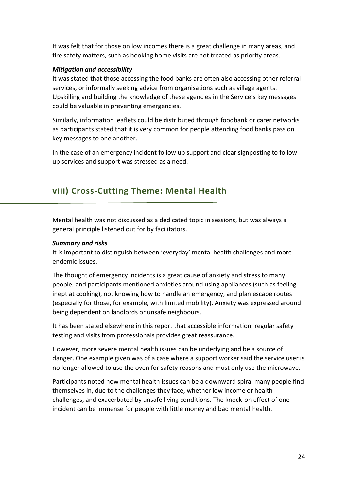It was felt that for those on low incomes there is a great challenge in many areas, and fire safety matters, such as booking home visits are not treated as priority areas.

#### *Mitigation and accessibility*

It was stated that those accessing the food banks are often also accessing other referral services, or informally seeking advice from organisations such as village agents. Upskilling and building the knowledge of these agencies in the Service's key messages could be valuable in preventing emergencies.

Similarly, information leaflets could be distributed through foodbank or carer networks as participants stated that it is very common for people attending food banks pass on key messages to one another.

In the case of an emergency incident follow up support and clear signposting to followup services and support was stressed as a need.

# **viii) Cross-Cutting Theme: Mental Health**

Mental health was not discussed as a dedicated topic in sessions, but was always a general principle listened out for by facilitators.

#### *Summary and risks*

It is important to distinguish between 'everyday' mental health challenges and more endemic issues.

The thought of emergency incidents is a great cause of anxiety and stress to many people, and participants mentioned anxieties around using appliances (such as feeling inept at cooking), not knowing how to handle an emergency, and plan escape routes (especially for those, for example, with limited mobility). Anxiety was expressed around being dependent on landlords or unsafe neighbours.

It has been stated elsewhere in this report that accessible information, regular safety testing and visits from professionals provides great reassurance.

However, more severe mental health issues can be underlying and be a source of danger. One example given was of a case where a support worker said the service user is no longer allowed to use the oven for safety reasons and must only use the microwave.

Participants noted how mental health issues can be a downward spiral many people find themselves in, due to the challenges they face, whether low income or health challenges, and exacerbated by unsafe living conditions. The knock-on effect of one incident can be immense for people with little money and bad mental health.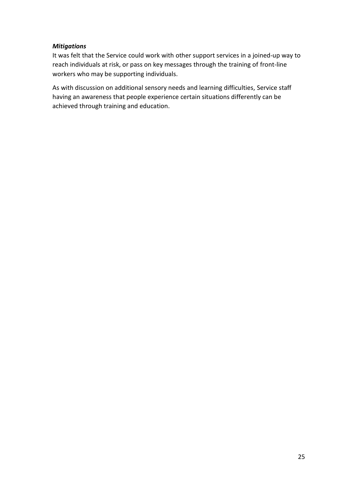#### *Mitigations*

It was felt that the Service could work with other support services in a joined-up way to reach individuals at risk, or pass on key messages through the training of front-line workers who may be supporting individuals.

As with discussion on additional sensory needs and learning difficulties, Service staff having an awareness that people experience certain situations differently can be achieved through training and education.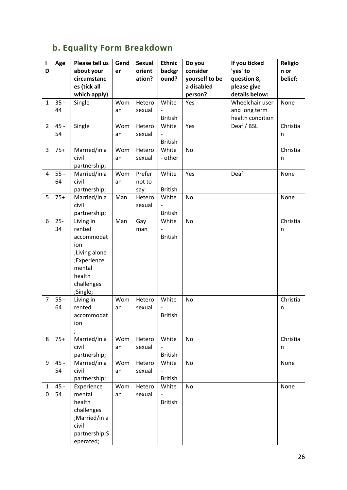# **b. Equality Form Breakdown**

| ı<br>D         | Age          | Please tell us<br>about your | Gend<br>er | <b>Sexual</b><br>orient | <b>Ethnic</b><br>backgr | Do you<br>consider | If you ticked<br>'yes' to | <b>Religio</b><br>n or |
|----------------|--------------|------------------------------|------------|-------------------------|-------------------------|--------------------|---------------------------|------------------------|
|                |              | circumstanc                  |            | ation?                  | ound?                   | yourself to be     | question 8,               | belief:                |
|                |              | es (tick all                 |            |                         |                         | a disabled         | please give               |                        |
|                |              | which apply)                 |            |                         |                         | person?            | details below:            |                        |
| $\mathbf{1}$   | $35 -$       | Single                       | Wom        | Hetero                  | White                   | Yes                | Wheelchair user           | None                   |
|                | 44           |                              | an         | sexual                  |                         |                    | and long term             |                        |
|                |              |                              |            |                         | <b>British</b>          |                    | health condition          |                        |
| $\overline{2}$ | 45 -         | Single                       | Wom        | Hetero                  | White                   | Yes                | Deaf / BSL                | Christia               |
|                | 54           |                              | an         | sexual                  |                         |                    |                           | n                      |
|                |              |                              |            |                         | <b>British</b>          |                    |                           |                        |
| 3              | $75+$        | Married/in a                 | Wom        | Hetero                  | White                   | No                 |                           | Christia               |
|                |              | civil                        | an         | sexual                  | - other                 |                    |                           | n                      |
|                |              | partnership;                 |            |                         |                         |                    |                           |                        |
| 4              | $55 -$<br>64 | Married/in a<br>civil        | Wom        | Prefer<br>not to        | White                   | Yes                | Deaf                      | None                   |
|                |              | partnership;                 | an         | say                     | <b>British</b>          |                    |                           |                        |
| 5              | $75+$        | Married/in a                 | Man        | Hetero                  | White                   | No                 |                           | None                   |
|                |              | civil                        |            | sexual                  |                         |                    |                           |                        |
|                |              | partnership;                 |            |                         | <b>British</b>          |                    |                           |                        |
| 6              | $25 -$       | Living in                    | Man        | Gay                     | White                   | No                 |                           | Christia               |
|                | 34           | rented                       |            | man                     |                         |                    |                           | n                      |
|                |              | accommodat                   |            |                         | <b>British</b>          |                    |                           |                        |
|                |              | ion                          |            |                         |                         |                    |                           |                        |
|                |              | ;Living alone                |            |                         |                         |                    |                           |                        |
|                |              | ;Experience                  |            |                         |                         |                    |                           |                        |
|                |              | mental                       |            |                         |                         |                    |                           |                        |
|                |              | health                       |            |                         |                         |                    |                           |                        |
|                |              | challenges                   |            |                         |                         |                    |                           |                        |
|                |              | ;Single;                     |            |                         |                         |                    |                           |                        |
| 7              | $55 -$<br>64 | Living in<br>rented          | Wom        | Hetero                  | White                   | No                 |                           | Christia               |
|                |              | accommodat                   | an         | sexual                  | <b>British</b>          |                    |                           | n                      |
|                |              | ion                          |            |                         |                         |                    |                           |                        |
|                |              |                              |            |                         |                         |                    |                           |                        |
| 8              | $75+$        | Married/in a                 | Wom        | Hetero                  | White                   | No                 |                           | Christia               |
|                |              | civil                        | an         | sexual                  |                         |                    |                           | n                      |
|                |              | partnership;                 |            |                         | <b>British</b>          |                    |                           |                        |
| 9              | $45 -$       | Married/in a                 | Wom        | Hetero                  | White                   | No                 |                           | None                   |
|                | 54           | civil                        | an         | sexual                  |                         |                    |                           |                        |
|                |              | partnership;                 |            |                         | <b>British</b>          |                    |                           |                        |
| $\mathbf{1}$   | $45 -$       | Experience                   | Wom        | Hetero                  | White                   | No                 |                           | None                   |
| 0              |              |                              |            |                         |                         |                    |                           |                        |
|                | 54           | mental                       | an         | sexual                  |                         |                    |                           |                        |
|                |              | health                       |            |                         | <b>British</b>          |                    |                           |                        |
|                |              | challenges                   |            |                         |                         |                    |                           |                        |
|                |              | ;Married/in a                |            |                         |                         |                    |                           |                        |
|                |              | civil<br>partnership;S       |            |                         |                         |                    |                           |                        |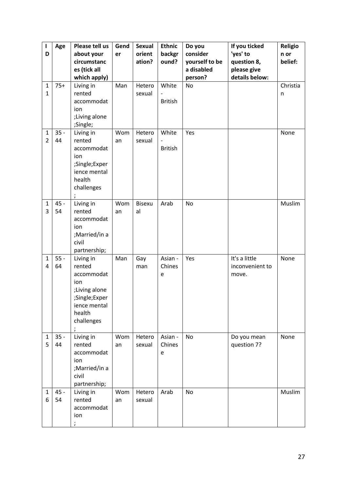| $\mathbf{I}$<br>D<br>$\mathbf{1}$ | Age<br>$75+$ | Please tell us<br>about your<br>circumstanc<br>es (tick all<br>which apply)<br>Living in                           | Gend<br>er<br>Man | <b>Sexual</b><br>orient<br>ation?<br>Hetero | <b>Ethnic</b><br>backgr<br>ound?<br>White              | Do you<br>consider<br>yourself to be<br>a disabled<br>person?<br>No | If you ticked<br>'yes' to<br>question 8,<br>please give<br>details below: | <b>Religio</b><br>n or<br>belief:<br>Christia |
|-----------------------------------|--------------|--------------------------------------------------------------------------------------------------------------------|-------------------|---------------------------------------------|--------------------------------------------------------|---------------------------------------------------------------------|---------------------------------------------------------------------------|-----------------------------------------------|
| $\mathbf{1}$                      |              | rented<br>accommodat<br>ion<br>;Living alone<br>;Single;                                                           |                   | sexual                                      | <b>British</b>                                         |                                                                     |                                                                           | n                                             |
| $\mathbf{1}$<br>$\overline{2}$    | $35 -$<br>44 | Living in<br>rented<br>accommodat<br>ion<br>;Single;Exper<br>ience mental<br>health<br>challenges                  | Wom<br>an         | Hetero<br>sexual                            | White<br>$\overline{\phantom{0}}$<br><b>British</b>    | Yes                                                                 |                                                                           | None                                          |
| $\mathbf{1}$<br>3                 | 45 -<br>54   | Living in<br>rented<br>accommodat<br>ion<br>;Married/in a<br>civil<br>partnership;                                 | Wom<br>an         | <b>Bisexu</b><br>al                         | Arab                                                   | No                                                                  |                                                                           | Muslim                                        |
| $\mathbf{1}$<br>4                 | $55 -$<br>64 | Living in<br>rented<br>accommodat<br>ion<br>;Living alone<br>;Single;Exper<br>ience mental<br>health<br>challenges | Man               | Gay<br>man                                  | Asian -<br>Chines<br>e                                 | Yes                                                                 | It's a little<br>inconvenient to<br>move.                                 | None                                          |
| $\mathbf{1}$<br>5                 | $35 -$<br>44 | Living in<br>rented<br>accommodat<br>ion<br>;Married/in a<br>civil<br>partnership;                                 | Wom<br>an         | Hetero<br>sexual                            | Asian -<br>Chines<br>$\mathsf{e}% _{t}\left( t\right)$ | No                                                                  | Do you mean<br>question 7?                                                | None                                          |
| $\mathbf{1}$<br>6                 | $45 -$<br>54 | Living in<br>rented<br>accommodat<br>ion                                                                           | Wom<br>an         | Hetero<br>sexual                            | Arab                                                   | No                                                                  |                                                                           | Muslim                                        |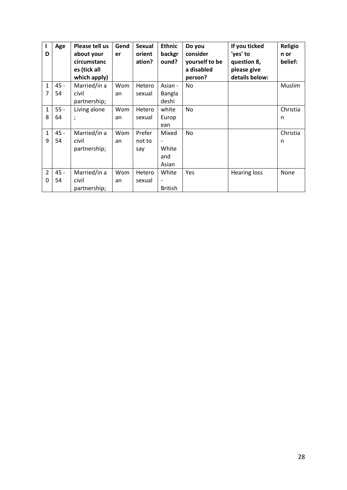| D                   | Age          | Please tell us<br>about your<br>circumstanc<br>es (tick all<br>which apply) | Gend<br>er | <b>Sexual</b><br>orient<br>ation? | <b>Ethnic</b><br>backgr<br>ound?  | Do you<br>consider<br>yourself to be<br>a disabled<br>person? | If you ticked<br>'yes' to<br>question 8,<br>please give<br>details below: | <b>Religio</b><br>n or<br>belief: |
|---------------------|--------------|-----------------------------------------------------------------------------|------------|-----------------------------------|-----------------------------------|---------------------------------------------------------------|---------------------------------------------------------------------------|-----------------------------------|
| $\mathbf{1}$<br>7   | $45 -$<br>54 | Married/in a<br>civil<br>partnership;                                       | Wom<br>an  | Hetero<br>sexual                  | Asian -<br><b>Bangla</b><br>deshi | <b>No</b>                                                     |                                                                           | Muslim                            |
| $\mathbf{1}$<br>8   | $55 -$<br>64 | Living alone<br>$\lambda$                                                   | Wom<br>an  | Hetero<br>sexual                  | white<br>Europ<br>ean             | <b>No</b>                                                     |                                                                           | Christia<br>n                     |
| $\mathbf{1}$<br>9   | $45 -$<br>54 | Married/in a<br>civil<br>partnership;                                       | Wom<br>an  | Prefer<br>not to<br>say           | Mixed<br>White<br>and<br>Asian    | <b>No</b>                                                     |                                                                           | Christia<br>n                     |
| $\overline{2}$<br>0 | $45 -$<br>54 | Married/in a<br>civil<br>partnership;                                       | Wom<br>an  | Hetero<br>sexual                  | White<br><b>British</b>           | Yes                                                           | <b>Hearing loss</b>                                                       | None                              |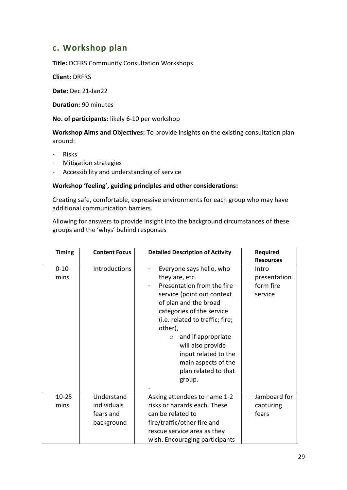# **c. Workshop plan**

**Title:** DCFRS Community Consultation Workshops

**Client:** DRFRS

**Date:** Dec 21-Jan22

**Duration:** 90 minutes

**No. of participants:** likely 6-10 per workshop

**Workshop Aims and Objectives:** To provide insights on the existing consultation plan around:

- Risks
- Mitigation strategies
- Accessibility and understanding of service

#### **Workshop 'feeling', guiding principles and other considerations:**

Creating safe, comfortable, expressive environments for each group who may have additional communication barriers.

Allowing for answers to provide insight into the background circumstances of these groups and the 'whys' behind responses

| <b>Timing</b>     | <b>Content Focus</b>                                 | <b>Detailed Description of Activity</b>                                                                                                                                                                                                                                                                                                                             | Required<br><b>Resources</b>                  |
|-------------------|------------------------------------------------------|---------------------------------------------------------------------------------------------------------------------------------------------------------------------------------------------------------------------------------------------------------------------------------------------------------------------------------------------------------------------|-----------------------------------------------|
| $0 - 10$<br>mins  | <b>Introductions</b>                                 | Everyone says hello, who<br>they are, etc.<br>Presentation from the fire<br>$\overline{a}$<br>service (point out context<br>of plan and the broad<br>categories of the service<br>(i.e. related to traffic; fire;<br>other),<br>and if appropriate<br>$\circ$<br>will also provide<br>input related to the<br>main aspects of the<br>plan related to that<br>group. | Intro<br>presentation<br>form fire<br>service |
| $10 - 25$<br>mins | Understand<br>individuals<br>fears and<br>background | Asking attendees to name 1-2<br>risks or hazards each. These<br>can be related to<br>fire/traffic/other fire and<br>rescue service area as they<br>wish. Encouraging participants                                                                                                                                                                                   | Jamboard for<br>capturing<br>fears            |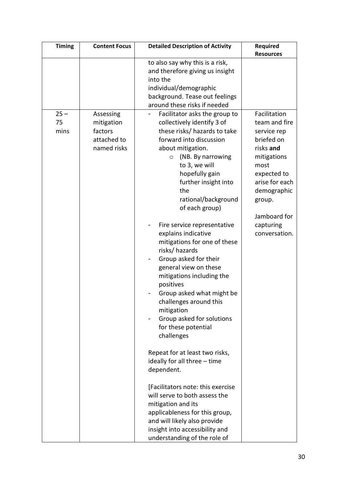| <b>Timing</b>        | <b>Content Focus</b>                                             | <b>Detailed Description of Activity</b>                                                                                                                                                                                                                                                                                                                                                                                                                                                                                                                                                                                                                                                                                                                                                                                                                                                                                                                                          | Required                                                                                                                                                                                               |
|----------------------|------------------------------------------------------------------|----------------------------------------------------------------------------------------------------------------------------------------------------------------------------------------------------------------------------------------------------------------------------------------------------------------------------------------------------------------------------------------------------------------------------------------------------------------------------------------------------------------------------------------------------------------------------------------------------------------------------------------------------------------------------------------------------------------------------------------------------------------------------------------------------------------------------------------------------------------------------------------------------------------------------------------------------------------------------------|--------------------------------------------------------------------------------------------------------------------------------------------------------------------------------------------------------|
|                      |                                                                  |                                                                                                                                                                                                                                                                                                                                                                                                                                                                                                                                                                                                                                                                                                                                                                                                                                                                                                                                                                                  | <b>Resources</b>                                                                                                                                                                                       |
|                      |                                                                  | to also say why this is a risk,<br>and therefore giving us insight<br>into the<br>individual/demographic<br>background. Tease out feelings<br>around these risks if needed                                                                                                                                                                                                                                                                                                                                                                                                                                                                                                                                                                                                                                                                                                                                                                                                       |                                                                                                                                                                                                        |
| $25 -$<br>75<br>mins | Assessing<br>mitigation<br>factors<br>attached to<br>named risks | Facilitator asks the group to<br>$\overline{\phantom{0}}$<br>collectively identify 3 of<br>these risks/hazards to take<br>forward into discussion<br>about mitigation.<br>(NB. By narrowing<br>$\circ$<br>to 3, we will<br>hopefully gain<br>further insight into<br>the<br>rational/background<br>of each group)<br>Fire service representative<br>-<br>explains indicative<br>mitigations for one of these<br>risks/hazards<br>Group asked for their<br>general view on these<br>mitigations including the<br>positives<br>Group asked what might be<br>challenges around this<br>mitigation<br>Group asked for solutions<br>for these potential<br>challenges<br>Repeat for at least two risks,<br>ideally for all three - time<br>dependent.<br>[Facilitators note: this exercise<br>will serve to both assess the<br>mitigation and its<br>applicableness for this group,<br>and will likely also provide<br>insight into accessibility and<br>understanding of the role of | Facilitation<br>team and fire<br>service rep<br>briefed on<br>risks and<br>mitigations<br>most<br>expected to<br>arise for each<br>demographic<br>group.<br>Jamboard for<br>capturing<br>conversation. |